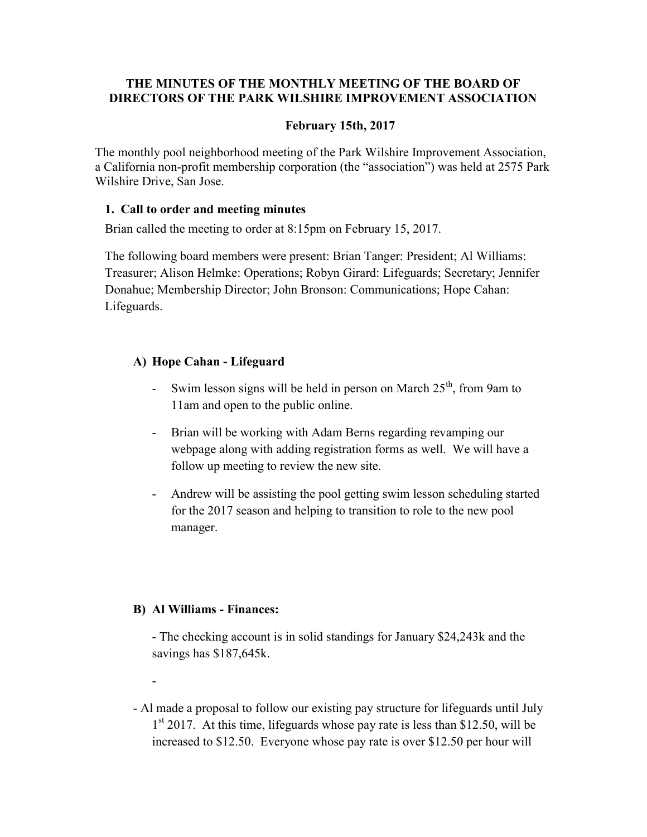## THE MINUTES OF THE MONTHLY MEETING OF THE BOARD OF DIRECTORS OF THE PARK WILSHIRE IMPROVEMENT ASSOCIATION

## February 15th, 2017

The monthly pool neighborhood meeting of the Park Wilshire Improvement Association, a California non-profit membership corporation (the "association") was held at 2575 Park Wilshire Drive, San Jose.

### 1. Call to order and meeting minutes

Brian called the meeting to order at 8:15pm on February 15, 2017.

The following board members were present: Brian Tanger: President; Al Williams: Treasurer; Alison Helmke: Operations; Robyn Girard: Lifeguards; Secretary; Jennifer Donahue; Membership Director; John Bronson: Communications; Hope Cahan: Lifeguards.

# A) Hope Cahan - Lifeguard

- Swim lesson signs will be held in person on March  $25<sup>th</sup>$ , from 9am to 11am and open to the public online.
- Brian will be working with Adam Berns regarding revamping our webpage along with adding registration forms as well. We will have a follow up meeting to review the new site.
- Andrew will be assisting the pool getting swim lesson scheduling started for the 2017 season and helping to transition to role to the new pool manager.

### B) Al Williams - Finances:

-

- The checking account is in solid standings for January \$24,243k and the savings has \$187,645k.

- Al made a proposal to follow our existing pay structure for lifeguards until July 1<sup>st</sup> 2017. At this time, lifeguards whose pay rate is less than \$12.50, will be increased to \$12.50. Everyone whose pay rate is over \$12.50 per hour will